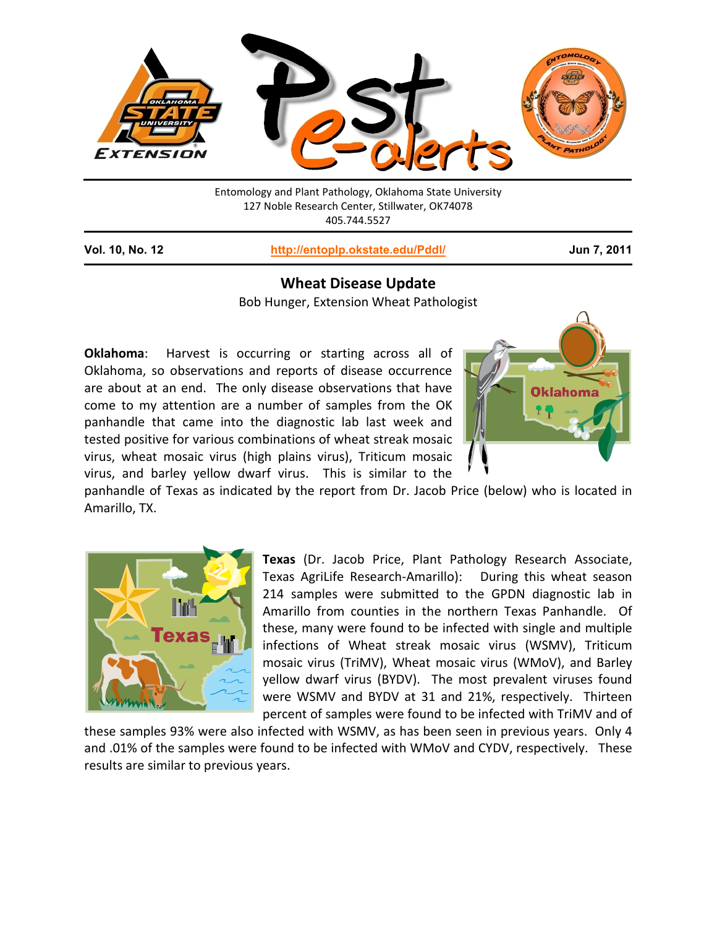

Entomology and Plant Pathology, Oklahoma State University 127 Noble Research Center, Stillwater, OK74078 405.744.5527

**Vol. 10, No. 12 <http://entoplp.okstate.edu/Pddl/> Jun 7, 2011**

# **Wheat Disease Update**

Bob Hunger, Extension Wheat Pathologist

**Oklahoma**: Harvest is occurring or starting across all of Oklahoma, so observations and reports of disease occurrence are about at an end. The only disease observations that have come to my attention are a number of samples from the OK panhandle that came into the diagnostic lab last week and tested positive for various combinations of wheat streak mosaic virus, wheat mosaic virus (high plains virus), Triticum mosaic virus, and barley yellow dwarf virus. This is similar to the



panhandle of Texas as indicated by the report from Dr. Jacob Price (below) who is located in Amarillo, TX.



**Texas** (Dr. Jacob Price, Plant Pathology Research Associate, Texas AgriLife Research-Amarillo): During this wheat season 214 samples were submitted to the GPDN diagnostic lab in Amarillo from counties in the northern Texas Panhandle. Of these, many were found to be infected with single and multiple infections of Wheat streak mosaic virus (WSMV), Triticum mosaic virus (TriMV), Wheat mosaic virus (WMoV), and Barley yellow dwarf virus (BYDV). The most prevalent viruses found were WSMV and BYDV at 31 and 21%, respectively. Thirteen percent of samples were found to be infected with TriMV and of

these samples 93% were also infected with WSMV, as has been seen in previous years. Only 4 and .01% of the samples were found to be infected with WMoV and CYDV, respectively. These results are similar to previous years.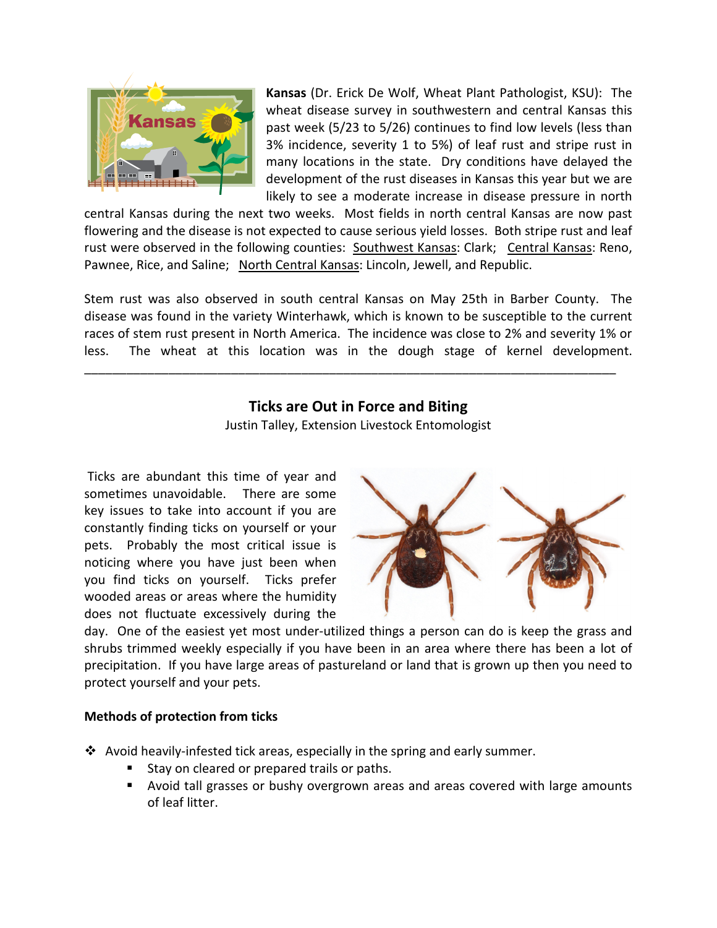

**Kansas** (Dr. Erick De Wolf, Wheat Plant Pathologist, KSU): The wheat disease survey in southwestern and central Kansas this past week (5/23 to 5/26) continues to find low levels (less than 3% incidence, severity 1 to 5%) of leaf rust and stripe rust in many locations in the state. Dry conditions have delayed the development of the rust diseases in Kansas this year but we are likely to see a moderate increase in disease pressure in north

central Kansas during the next two weeks. Most fields in north central Kansas are now past flowering and the disease is not expected to cause serious yield losses. Both stripe rust and leaf rust were observed in the following counties: Southwest Kansas: Clark; Central Kansas: Reno, Pawnee, Rice, and Saline; North Central Kansas: Lincoln, Jewell, and Republic.

Stem rust was also observed in south central Kansas on May 25th in Barber County. The disease was found in the variety Winterhawk, which is known to be susceptible to the current races of stem rust present in North America. The incidence was close to 2% and severity 1% or less. The wheat at this location was in the dough stage of kernel development.

\_\_\_\_\_\_\_\_\_\_\_\_\_\_\_\_\_\_\_\_\_\_\_\_\_\_\_\_\_\_\_\_\_\_\_\_\_\_\_\_\_\_\_\_\_\_\_\_\_\_\_\_\_\_\_\_\_\_\_\_\_\_\_\_\_\_\_\_\_\_\_\_\_\_\_\_

# **Ticks are Out in Force and Biting** Justin Talley, Extension Livestock Entomologist

Ticks are abundant this time of year and sometimes unavoidable. There are some key issues to take into account if you are constantly finding ticks on yourself or your pets. Probably the most critical issue is noticing where you have just been when you find ticks on yourself. Ticks prefer wooded areas or areas where the humidity does not fluctuate excessively during the



day. One of the easiest yet most under-utilized things a person can do is keep the grass and shrubs trimmed weekly especially if you have been in an area where there has been a lot of precipitation. If you have large areas of pastureland or land that is grown up then you need to protect yourself and your pets.

## **Methods of protection from ticks**

 $\clubsuit$  Avoid heavily-infested tick areas, especially in the spring and early summer.

- Stay on cleared or prepared trails or paths.
- Avoid tall grasses or bushy overgrown areas and areas covered with large amounts of leaf litter.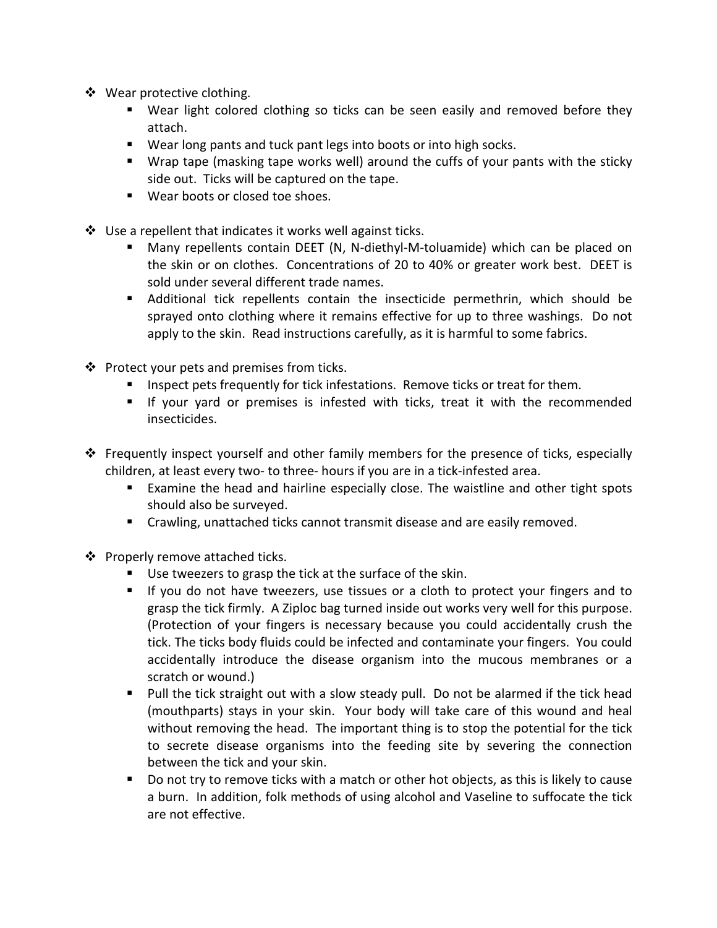- ❖ Wear protective clothing.
	- Wear light colored clothing so ticks can be seen easily and removed before they attach.
	- **Wear long pants and tuck pant legs into boots or into high socks.**
	- Wrap tape (masking tape works well) around the cuffs of your pants with the sticky side out. Ticks will be captured on the tape.
	- Wear boots or closed toe shoes.
- $\cdot \cdot$  Use a repellent that indicates it works well against ticks.
	- Many repellents contain DEET (N, N-diethyl-M-toluamide) which can be placed on the skin or on clothes. Concentrations of 20 to 40% or greater work best. DEET is sold under several different trade names.
	- Additional tick repellents contain the insecticide permethrin, which should be sprayed onto clothing where it remains effective for up to three washings. Do not apply to the skin. Read instructions carefully, as it is harmful to some fabrics.
- $\cdot \cdot$  Protect your pets and premises from ticks.
	- **Inspect pets frequently for tick infestations. Remove ticks or treat for them.**
	- If your yard or premises is infested with ticks, treat it with the recommended insecticides.
- Frequently inspect yourself and other family members for the presence of ticks, especially children, at least every two- to three- hours if you are in a tick-infested area.
	- Examine the head and hairline especially close. The waistline and other tight spots should also be surveyed.
	- **EXECT** Crawling, unattached ticks cannot transmit disease and are easily removed.
- ❖ Properly remove attached ticks.
	- Use tweezers to grasp the tick at the surface of the skin.
	- If you do not have tweezers, use tissues or a cloth to protect your fingers and to grasp the tick firmly. A Ziploc bag turned inside out works very well for this purpose. (Protection of your fingers is necessary because you could accidentally crush the tick. The ticks body fluids could be infected and contaminate your fingers. You could accidentally introduce the disease organism into the mucous membranes or a scratch or wound.)
	- Pull the tick straight out with a slow steady pull. Do not be alarmed if the tick head (mouthparts) stays in your skin. Your body will take care of this wound and heal without removing the head. The important thing is to stop the potential for the tick to secrete disease organisms into the feeding site by severing the connection between the tick and your skin.
	- Do not try to remove ticks with a match or other hot objects, as this is likely to cause a burn. In addition, folk methods of using alcohol and Vaseline to suffocate the tick are not effective.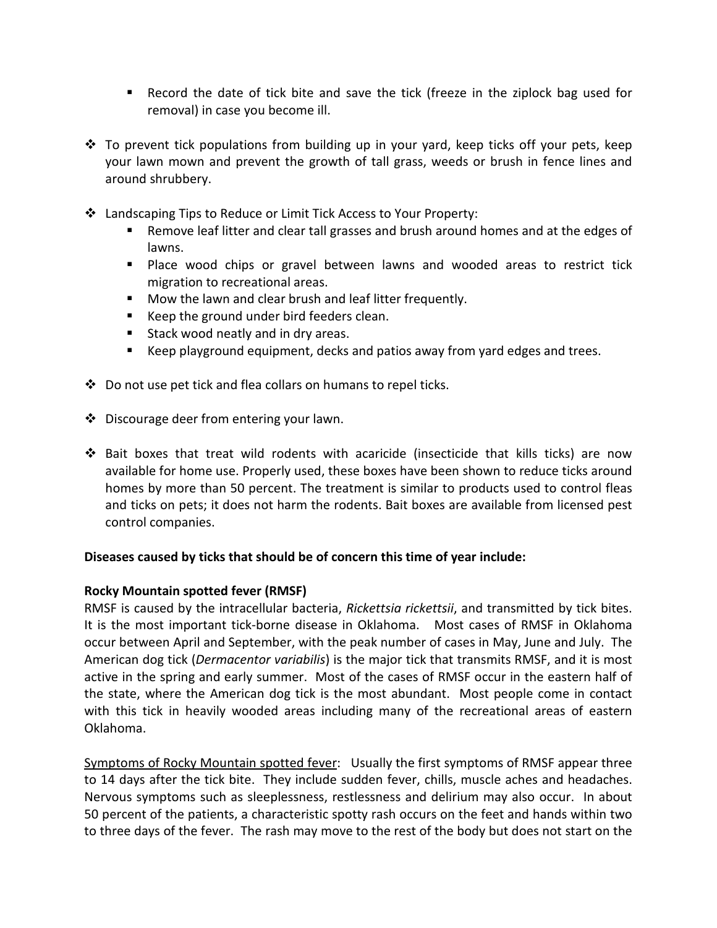- Record the date of tick bite and save the tick (freeze in the ziplock bag used for removal) in case you become ill.
- $\div$  To prevent tick populations from building up in your yard, keep ticks off your pets, keep your lawn mown and prevent the growth of tall grass, weeds or brush in fence lines and around shrubbery.
- Landscaping Tips to Reduce or Limit Tick Access to Your Property:
	- **Para Ferm** Remove leaf litter and clear tall grasses and brush around homes and at the edges of lawns.
	- **Place wood chips or gravel between lawns and wooded areas to restrict tick** migration to recreational areas.
	- Mow the lawn and clear brush and leaf litter frequently.
	- Keep the ground under bird feeders clean.
	- **Stack wood neatly and in dry areas.**
	- Keep playground equipment, decks and patios away from yard edges and trees.
- $\clubsuit$  Do not use pet tick and flea collars on humans to repel ticks.
- Discourage deer from entering your lawn.
- Bait boxes that treat wild rodents with acaricide (insecticide that kills ticks) are now available for home use. Properly used, these boxes have been shown to reduce ticks around homes by more than 50 percent. The treatment is similar to products used to control fleas and ticks on pets; it does not harm the rodents. Bait boxes are available from licensed pest control companies.

## **Diseases caused by ticks that should be of concern this time of year include:**

## **Rocky Mountain spotted fever (RMSF)**

RMSF is caused by the intracellular bacteria, *Rickettsia rickettsii*, and transmitted by tick bites. It is the most important tick-borne disease in Oklahoma. Most cases of RMSF in Oklahoma occur between April and September, with the peak number of cases in May, June and July. The American dog tick (*Dermacentor variabilis*) is the major tick that transmits RMSF, and it is most active in the spring and early summer. Most of the cases of RMSF occur in the eastern half of the state, where the American dog tick is the most abundant. Most people come in contact with this tick in heavily wooded areas including many of the recreational areas of eastern Oklahoma.

Symptoms of Rocky Mountain spotted fever: Usually the first symptoms of RMSF appear three to 14 days after the tick bite. They include sudden fever, chills, muscle aches and headaches. Nervous symptoms such as sleeplessness, restlessness and delirium may also occur. In about 50 percent of the patients, a characteristic spotty rash occurs on the feet and hands within two to three days of the fever. The rash may move to the rest of the body but does not start on the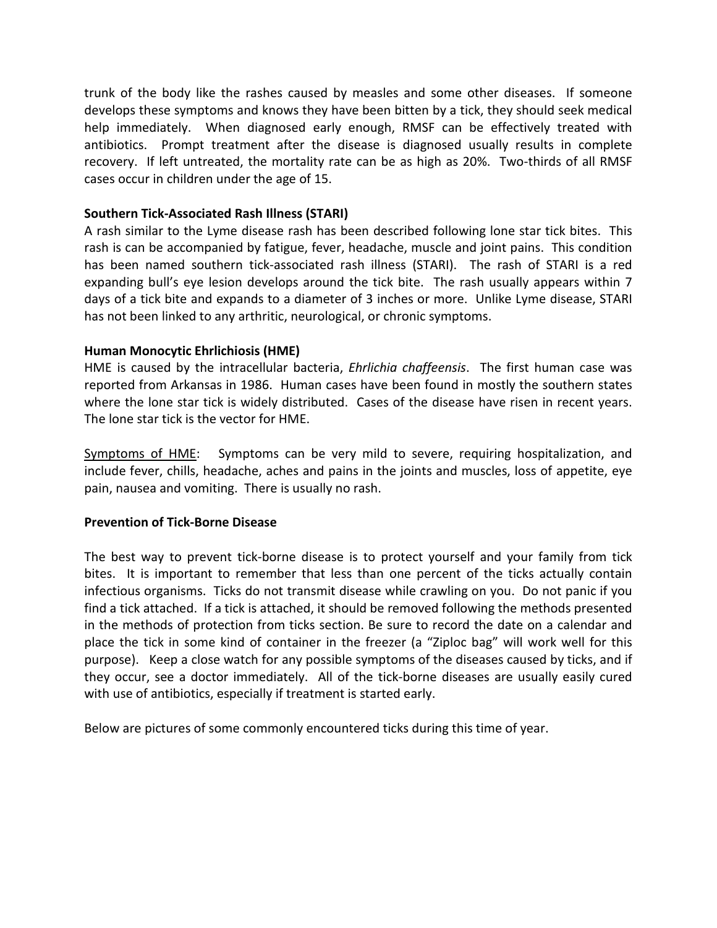trunk of the body like the rashes caused by measles and some other diseases. If someone develops these symptoms and knows they have been bitten by a tick, they should seek medical help immediately. When diagnosed early enough, RMSF can be effectively treated with antibiotics. Prompt treatment after the disease is diagnosed usually results in complete recovery. If left untreated, the mortality rate can be as high as 20%. Two-thirds of all RMSF cases occur in children under the age of 15.

# **Southern Tick-Associated Rash Illness (STARI)**

A rash similar to the Lyme disease rash has been described following lone star tick bites. This rash is can be accompanied by fatigue, fever, headache, muscle and joint pains. This condition has been named southern tick-associated rash illness (STARI). The rash of STARI is a red expanding bull's eye lesion develops around the tick bite. The rash usually appears within 7 days of a tick bite and expands to a diameter of 3 inches or more. Unlike Lyme disease, STARI has not been linked to any arthritic, neurological, or chronic symptoms.

# **Human Monocytic Ehrlichiosis (HME)**

HME is caused by the intracellular bacteria, *Ehrlichia chaffeensis*. The first human case was reported from Arkansas in 1986. Human cases have been found in mostly the southern states where the lone star tick is widely distributed. Cases of the disease have risen in recent years. The lone star tick is the vector for HME.

Symptoms of HME: Symptoms can be very mild to severe, requiring hospitalization, and include fever, chills, headache, aches and pains in the joints and muscles, loss of appetite, eye pain, nausea and vomiting. There is usually no rash.

## **Prevention of Tick-Borne Disease**

The best way to prevent tick-borne disease is to protect yourself and your family from tick bites. It is important to remember that less than one percent of the ticks actually contain infectious organisms. Ticks do not transmit disease while crawling on you. Do not panic if you find a tick attached. If a tick is attached, it should be removed following the methods presented in the methods of protection from ticks section. Be sure to record the date on a calendar and place the tick in some kind of container in the freezer (a "Ziploc bag" will work well for this purpose). Keep a close watch for any possible symptoms of the diseases caused by ticks, and if they occur, see a doctor immediately. All of the tick-borne diseases are usually easily cured with use of antibiotics, especially if treatment is started early.

Below are pictures of some commonly encountered ticks during this time of year.